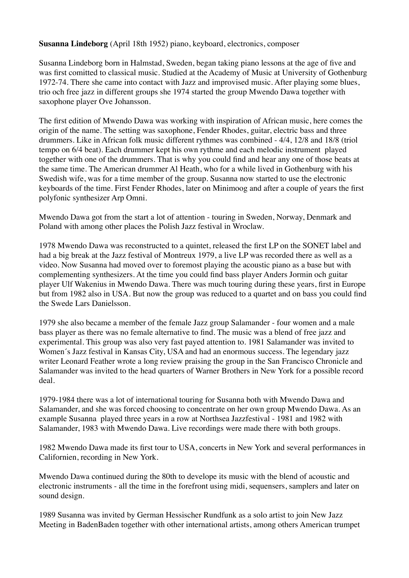# **Susanna Lindeborg** (April 18th 1952) piano, keyboard, electronics, composer

Susanna Lindeborg born in Halmstad, Sweden, began taking piano lessons at the age of five and was first comitted to classical music. Studied at the Academy of Music at University of Gothenburg 1972-74. There she came into contact with Jazz and improvised music. After playing some blues, trio och free jazz in different groups she 1974 started the group Mwendo Dawa together with saxophone player Ove Johansson.

The first edition of Mwendo Dawa was working with inspiration of African music, here comes the origin of the name. The setting was saxophone, Fender Rhodes, guitar, electric bass and three drummers. Like in African folk music different rythmes was combined - 4/4, 12/8 and 18/8 (triol tempo on 6/4 beat). Each drummer kept his own rythme and each melodic instrument played together with one of the drummers. That is why you could find and hear any one of those beats at the same time. The American drummer Al Heath, who for a while lived in Gothenburg with his Swedish wife, was for a time member of the group. Susanna now started to use the electronic keyboards of the time. First Fender Rhodes, later on Minimoog and after a couple of years the first polyfonic synthesizer Arp Omni.

Mwendo Dawa got from the start a lot of attention - touring in Sweden, Norway, Denmark and Poland with among other places the Polish Jazz festival in Wroclaw.

1978 Mwendo Dawa was reconstructed to a quintet, released the first LP on the SONET label and had a big break at the Jazz festival of Montreux 1979, a live LP was recorded there as well as a video. Now Susanna had moved over to foremost playing the acoustic piano as a base but with complementing synthesizers. At the time you could find bass player Anders Jormin och guitar player Ulf Wakenius in Mwendo Dawa. There was much touring during these years, first in Europe but from 1982 also in USA. But now the group was reduced to a quartet and on bass you could find the Swede Lars Danielsson.

1979 she also became a member of the female Jazz group Salamander - four women and a male bass player as there was no female alternative to find. The music was a blend of free jazz and experimental. This group was also very fast payed attention to. 1981 Salamander was invited to Women´s Jazz festival in Kansas City, USA and had an enormous success. The legendary jazz writer Leonard Feather wrote a long review praising the group in the San Francisco Chronicle and Salamander was invited to the head quarters of Warner Brothers in New York for a possible record deal.

1979-1984 there was a lot of international touring for Susanna both with Mwendo Dawa and Salamander, and she was forced choosing to concentrate on her own group Mwendo Dawa. As an example Susanna played three years in a row at Northsea Jazzfestival - 1981 and 1982 with Salamander, 1983 with Mwendo Dawa. Live recordings were made there with both groups.

1982 Mwendo Dawa made its first tour to USA, concerts in New York and several performances in Californien, recording in New York.

Mwendo Dawa continued during the 80th to develope its music with the blend of acoustic and electronic instruments - all the time in the forefront using midi, sequensers, samplers and later on sound design.

1989 Susanna was invited by German Hessischer Rundfunk as a solo artist to join New Jazz Meeting in BadenBaden together with other international artists, among others American trumpet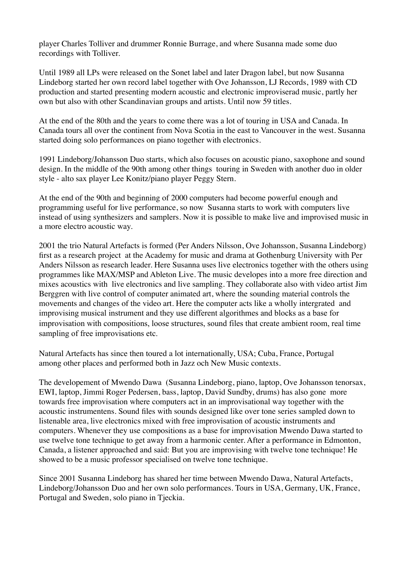player Charles Tolliver and drummer Ronnie Burrage, and where Susanna made some duo recordings with Tolliver.

Until 1989 all LPs were released on the Sonet label and later Dragon label, but now Susanna Lindeborg started her own record label together with Ove Johansson, LJ Records, 1989 with CD production and started presenting modern acoustic and electronic improviserad music, partly her own but also with other Scandinavian groups and artists. Until now 59 titles.

At the end of the 80th and the years to come there was a lot of touring in USA and Canada. In Canada tours all over the continent from Nova Scotia in the east to Vancouver in the west. Susanna started doing solo performances on piano together with electronics.

1991 Lindeborg/Johansson Duo starts, which also focuses on acoustic piano, saxophone and sound design. In the middle of the 90th among other things touring in Sweden with another duo in older style - alto sax player Lee Konitz/piano player Peggy Stern.

At the end of the 90th and beginning of 2000 computers had become powerful enough and programming useful for live performance, so now Susanna starts to work with computers live instead of using synthesizers and samplers. Now it is possible to make live and improvised music in a more electro acoustic way.

2001 the trio Natural Artefacts is formed (Per Anders Nilsson, Ove Johansson, Susanna Lindeborg) first as a research project at the Academy for music and drama at Gothenburg University with Per Anders Nilsson as research leader. Here Susanna uses live electronics together with the others using programmes like MAX/MSP and Ableton Live. The music developes into a more free direction and mixes acoustics with live electronics and live sampling. They collaborate also with video artist Jim Berggren with live control of computer animated art, where the sounding material controls the movements and changes of the video art. Here the computer acts like a wholly intergrated and improvising musical instrument and they use different algorithmes and blocks as a base for improvisation with compositions, loose structures, sound files that create ambient room, real time sampling of free improvisations etc.

Natural Artefacts has since then toured a lot internationally, USA; Cuba, France, Portugal among other places and performed both in Jazz och New Music contexts.

The developement of Mwendo Dawa (Susanna Lindeborg, piano, laptop, Ove Johansson tenorsax, EWI, laptop, Jimmi Roger Pedersen, bass, laptop, David Sundby, drums) has also gone more towards free improvisation where computers act in an improvisational way together with the acoustic instrumentens. Sound files with sounds designed like over tone series sampled down to listenable area, live electronics mixed with free improvisation of acoustic instruments and computers. Whenever they use compositions as a base for improvisation Mwendo Dawa started to use twelve tone technique to get away from a harmonic center. After a performance in Edmonton, Canada, a listener approached and said: But you are improvising with twelve tone technique! He showed to be a music professor specialised on twelve tone technique.

Since 2001 Susanna Lindeborg has shared her time between Mwendo Dawa, Natural Artefacts, Lindeborg/Johansson Duo and her own solo performances. Tours in USA, Germany, UK, France, Portugal and Sweden, solo piano in Tjeckia.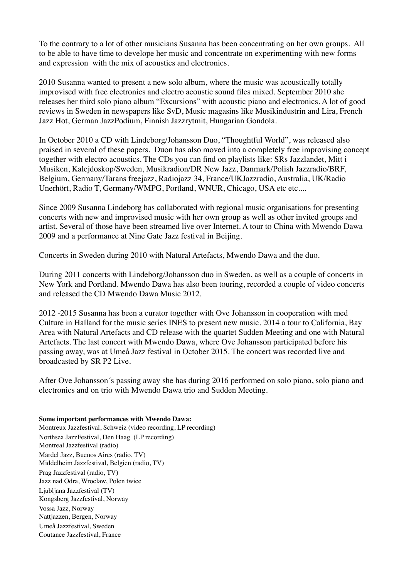To the contrary to a lot of other musicians Susanna has been concentrating on her own groups. All to be able to have time to develope her music and concentrate on experimenting with new forms and expression with the mix of acoustics and electronics.

2010 Susanna wanted to present a new solo album, where the music was acoustically totally improvised with free electronics and electro acoustic sound files mixed. September 2010 she releases her third solo piano album "Excursions" with acoustic piano and electronics. A lot of good reviews in Sweden in newspapers like SvD, Music magasins like Musikindustrin and Lira, French Jazz Hot, German JazzPodium, Finnish Jazzrytmit, Hungarian Gondola.

In October 2010 a CD with Lindeborg/Johansson Duo, "Thoughtful World", was released also praised in several of these papers. Duon has also moved into a completely free improvising concept together with electro acoustics. The CDs you can find on playlists like: SRs Jazzlandet, Mitt i Musiken, Kalejdoskop/Sweden, Musikradion/DR New Jazz, Danmark/Polish Jazzradio/BRF, Belgium, Germany/Tarans freejazz, Radiojazz 34, France/UKJazzradio, Australia, UK/Radio Unerhört, Radio T, Germany/WMPG, Portland, WNUR, Chicago, USA etc etc....

Since 2009 Susanna Lindeborg has collaborated with regional music organisations for presenting concerts with new and improvised music with her own group as well as other invited groups and artist. Several of those have been streamed live over Internet. A tour to China with Mwendo Dawa 2009 and a performance at Nine Gate Jazz festival in Beijing.

Concerts in Sweden during 2010 with Natural Artefacts, Mwendo Dawa and the duo.

During 2011 concerts with Lindeborg/Johansson duo in Sweden, as well as a couple of concerts in New York and Portland. Mwendo Dawa has also been touring, recorded a couple of video concerts and released the CD Mwendo Dawa Music 2012.

2012 -2015 Susanna has been a curator together with Ove Johansson in cooperation with med Culture in Halland for the music series INES to present new music. 2014 a tour to California, Bay Area with Natural Artefacts and CD release with the quartet Sudden Meeting and one with Natural Artefacts. The last concert with Mwendo Dawa, where Ove Johansson participated before his passing away, was at Umeå Jazz festival in October 2015. The concert was recorded live and broadcasted by SR P2 Live.

After Ove Johansson´s passing away she has during 2016 performed on solo piano, solo piano and electronics and on trio with Mwendo Dawa trio and Sudden Meeting.

#### **Some important performances with Mwendo Dawa:**

Montreux Jazzfestival, Schweiz (video recording, LP recording) Northsea JazzFestival, Den Haag (LP recording) Montreal Jazzfestival (radio) Mardel Jazz, Buenos Aires (radio, TV) Middelheim Jazzfestival, Belgien (radio, TV) Prag Jazzfestival (radio, TV) Jazz nad Odra, Wroclaw, Polen twice Ljubljana Jazzfestival (TV) Kongsberg Jazzfestival, Norway Vossa Jazz, Norway Nattjazzen, Bergen, Norway Umeå Jazzfestival, Sweden Coutance Jazzfestival, France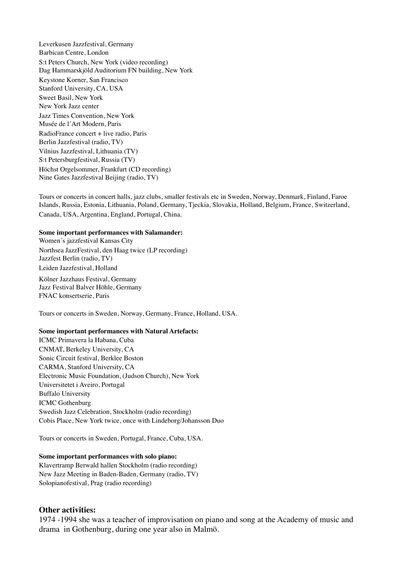Leverkusen Jazzfestival, Germany Barbican Centre, London S:t Peters Church, New York (video recording) Dag Hammarskjöld Auditorium FN building, New York Keystone Korner, San Francisco Stanford University, CA, USA Sweet Basil, New York New York Jazz center Jazz Times Convention, New York Musée de l´Art Modern, Paris RadioFrance concert + live radio, Paris Berlin Jazzfestival (radio, TV) Vilnius Jazzfestival, Lithuania (TV) S:t Petersburgfestival, Russia (TV) Höchst Orgelsommer, Frankfurt (CD recording) Nine Gates Jazzfestival Beijing (radio, TV)

Tours or concerts in concert halls, jazz clubs, smaller festivals etc in Sweden, Norway, Denmark, Finland, Faroe Islands, Russia, Estonia, Lithuania, Poland, Germany, Tjeckia, Slovakia, Holland, Belgium, France, Switzerland, Canada, USA, Argentina, England, Portugal, China.

#### **Some important performances with Salamander:**

Women´s jazzfestival Kansas City Northsea JazzFestival, den Haag twice (LP recording) Jazzfest Berlin (radio, TV) Leiden Jazzfestival, Holland

Kölner Jazzhaus Festival, Germany Jazz Festival Balver Höhle, Germany FNAC konsertserie, Paris

Tours or concerts in Sweden, Norway, Germany, France, Holland, USA.

#### **Some important performances with Natural Artefacts:**

ICMC Primavera la Habana, Cuba CNMAT, Berkeley University, CA Sonic Circuit festival, Berklee Boston CARMA, Stanford University, CA Electronic Music Foundation, (Judson Church), New York Universitetet i Aveiro, Portugal Buffalo University ICMC Gothenburg Swedish Jazz Celebration, Stockholm (radio recording) Cobis Place, New York twice, once with Lindeborg/Johansson Duo

Tours or concerts in Sweden, Portugal, France, Cuba, USA.

#### **Some important performances with solo piano:**

Klavertramp Berwald hallen Stockholm (radio recording) New Jazz Meeting in Baden-Baden, Germany (radio, TV) Solopianofestival, Prag (radio recording)

#### **Other activities:**

1974 -1994 she was a teacher of improvisation on piano and song at the Academy of music and drama in Gothenburg, during one year also in Malmö.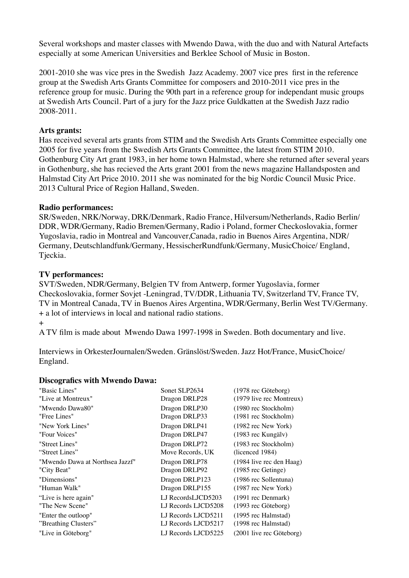Several workshops and master classes with Mwendo Dawa, with the duo and with Natural Artefacts especially at some American Universities and Berklee School of Music in Boston.

2001-2010 she was vice pres in the Swedish Jazz Academy. 2007 vice pres first in the reference group at the Swedish Arts Grants Committee for composers and 2010-2011 vice pres in the reference group for music. During the 90th part in a reference group for independant music groups at Swedish Arts Council. Part of a jury for the Jazz price Guldkatten at the Swedish Jazz radio 2008-2011.

# **Arts grants:**

Has received several arts grants from STIM and the Swedish Arts Grants Committee especially one 2005 for five years from the Swedish Arts Grants Committee, the latest from STIM 2010. Gothenburg City Art grant 1983, in her home town Halmstad, where she returned after several years in Gothenburg, she has recieved the Arts grant 2001 from the news magazine Hallandsposten and Halmstad City Art Price 2010. 2011 she was nominated for the big Nordic Council Music Price. 2013 Cultural Price of Region Halland, Sweden.

# **Radio performances:**

SR/Sweden, NRK/Norway, DRK/Denmark, Radio France, Hilversum/Netherlands, Radio Berlin/ DDR, WDR/Germany, Radio Bremen/Germany, Radio i Poland, former Checkoslovakia, former Yugoslavia, radio in Montreal and Vancouver,Canada, radio in Buenos Aires Argentina, NDR/ Germany, Deutschlandfunk/Germany, HessischerRundfunk/Germany, MusicChoice/ England, Tjeckia.

# **TV performances:**

SVT/Sweden, NDR/Germany, Belgien TV from Antwerp, former Yugoslavia, former Checkoslovakia, former Sovjet -Leningrad, TV/DDR, Lithuania TV, Switzerland TV, France TV, TV in Montreal Canada, TV in Buenos Aires Argentina, WDR/Germany, Berlin West TV/Germany. + a lot of interviews in local and national radio stations.

+

A TV film is made about Mwendo Dawa 1997-1998 in Sweden. Both documentary and live.

Interviews in OrkesterJournalen/Sweden. Gränslöst/Sweden. Jazz Hot/France, MusicChoice/ England.

## **Discografics with Mwendo Dawa:**

| "Basic Lines"                   | Sonet SLP2634       | (1978 rec Göteborg)          |
|---------------------------------|---------------------|------------------------------|
| "Live at Montreux"              | Dragon DRLP28       | $(1979$ live rec Montreux)   |
| "Mwendo Dawa80"                 | Dragon DRLP30       | (1980 rec Stockholm)         |
| "Free Lines"                    | Dragon DRLP33       | (1981 rec Stockholm)         |
| "New York Lines"                | Dragon DRLP41       | (1982 rec New York)          |
| "Four Voices"                   | Dragon DRLP47       | (1983 rec Kungälv)           |
| "Street Lines"                  | Dragon DRLP72       | (1983 rec Stockholm)         |
| "Street Lines"                  | Move Records, UK    | (licenced 1984)              |
| "Mwendo Dawa at Northsea Jazzf" | Dragon DRLP78       | (1984 live rec den Haag)     |
| "City Beat"                     | Dragon DRLP92       | (1985 rec Getinge)           |
| "Dimensions"                    | Dragon DRLP123      | (1986 rec Sollentuna)        |
| "Human Walk"                    | Dragon DRLP155      | $(1987 \t{rec New York})$    |
| "Live is here again"            | LJ RecordsLJCD5203  | $(1991 \text{ rec Denmark})$ |
| "The New Scene"                 | LJ Records LJCD5208 | (1993 rec Göteborg)          |
| "Enter the outloop"             | LJ Records LJCD5211 | (1995 rec Halmstad)          |
| "Breathing Clusters"            | LJ Records LJCD5217 | (1998 rec Halmstad)          |
| "Live in Göteborg"              | LJ Records LJCD5225 | (2001 live rec Göteborg)     |